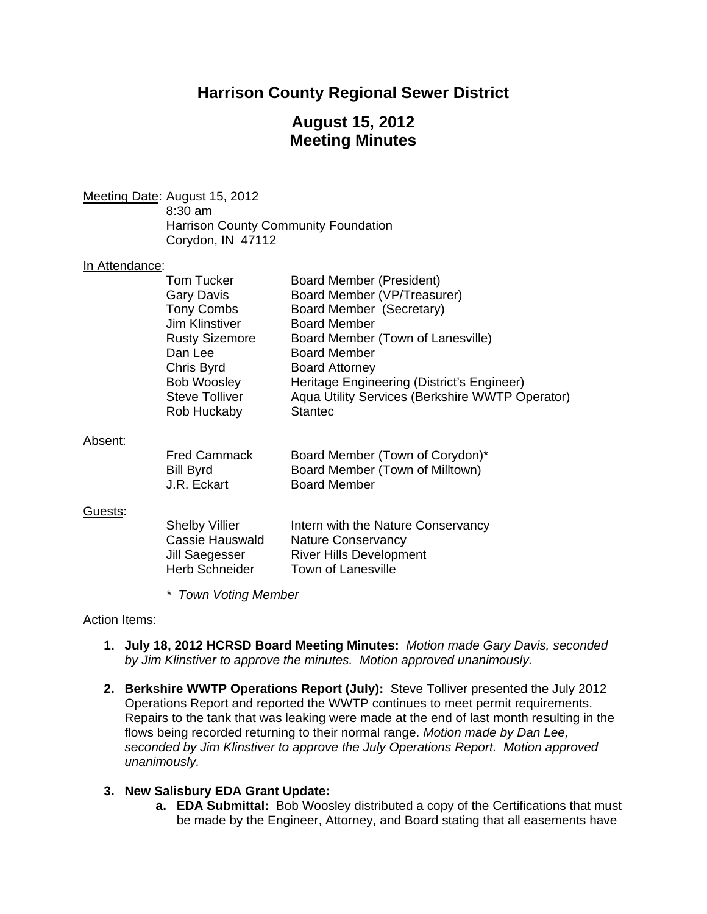# **Harrison County Regional Sewer District**

# **August 15, 2012 Meeting Minutes**

Meeting Date: August 15, 2012 8:30 am Harrison County Community Foundation Corydon, IN 47112

#### In Attendance:

|         | Tom Tucker            | Board Member (President)                        |
|---------|-----------------------|-------------------------------------------------|
|         | Gary Davis            | Board Member (VP/Treasurer)                     |
|         | <b>Tony Combs</b>     | Board Member (Secretary)                        |
|         | <b>Jim Klinstiver</b> | <b>Board Member</b>                             |
|         | <b>Rusty Sizemore</b> | Board Member (Town of Lanesville)               |
|         | Dan Lee               | <b>Board Member</b>                             |
|         | Chris Byrd            | <b>Board Attorney</b>                           |
|         | <b>Bob Woosley</b>    | Heritage Engineering (District's Engineer)      |
|         | <b>Steve Tolliver</b> | Aqua Utility Services (Berkshire WWTP Operator) |
|         | Rob Huckaby           | <b>Stantec</b>                                  |
|         |                       |                                                 |
| Absent: |                       |                                                 |

## Absent:

| <b>Fred Cammack</b> | Board Member (Town of Corydon)* |
|---------------------|---------------------------------|
| Bill Byrd           | Board Member (Town of Milltown) |
| J.R. Eckart         | <b>Board Member</b>             |

#### Guests:

| <b>Shelby Villier</b> | Intern with the Nature Conservancy |
|-----------------------|------------------------------------|
| Cassie Hauswald       | <b>Nature Conservancy</b>          |
| Jill Saegesser        | <b>River Hills Development</b>     |
| Herb Schneider        | Town of Lanesville                 |

*\* Town Voting Member* 

#### Action Items:

- **1. July 18, 2012 HCRSD Board Meeting Minutes:** *Motion made Gary Davis, seconded by Jim Klinstiver to approve the minutes. Motion approved unanimously.*
- **2. Berkshire WWTP Operations Report (July):** Steve Tolliver presented the July 2012 Operations Report and reported the WWTP continues to meet permit requirements. Repairs to the tank that was leaking were made at the end of last month resulting in the flows being recorded returning to their normal range. *Motion made by Dan Lee, seconded by Jim Klinstiver to approve the July Operations Report. Motion approved unanimously.*

#### **3. New Salisbury EDA Grant Update:**

**a. EDA Submittal:** Bob Woosley distributed a copy of the Certifications that must be made by the Engineer, Attorney, and Board stating that all easements have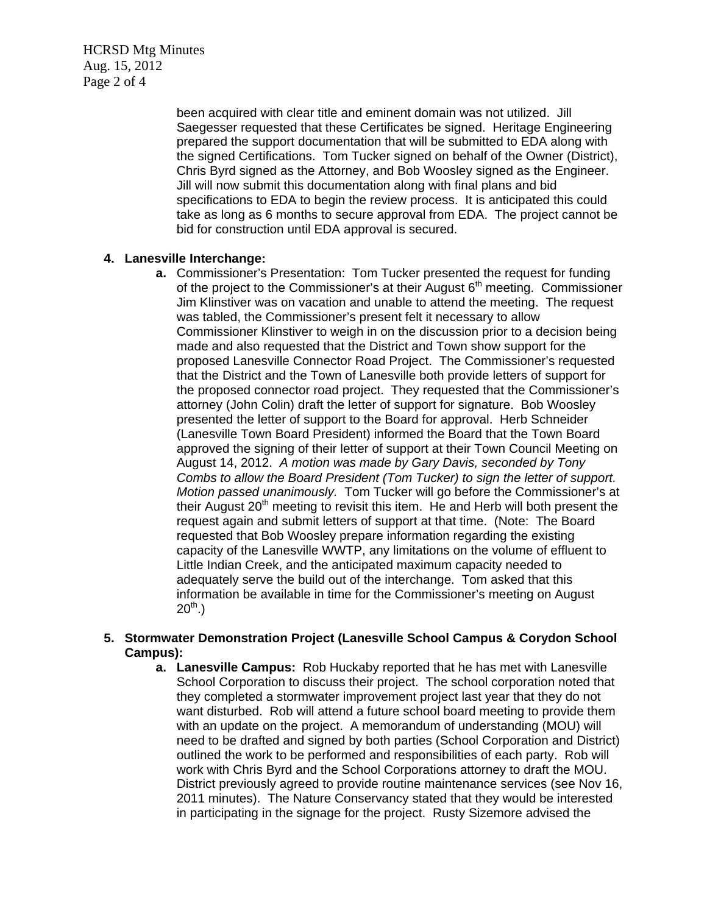HCRSD Mtg Minutes Aug. 15, 2012 Page 2 of 4

> been acquired with clear title and eminent domain was not utilized. Jill Saegesser requested that these Certificates be signed. Heritage Engineering prepared the support documentation that will be submitted to EDA along with the signed Certifications. Tom Tucker signed on behalf of the Owner (District), Chris Byrd signed as the Attorney, and Bob Woosley signed as the Engineer. Jill will now submit this documentation along with final plans and bid specifications to EDA to begin the review process. It is anticipated this could take as long as 6 months to secure approval from EDA. The project cannot be bid for construction until EDA approval is secured.

### **4. Lanesville Interchange:**

**a.** Commissioner's Presentation: Tom Tucker presented the request for funding of the project to the Commissioner's at their August  $6<sup>th</sup>$  meeting. Commissioner Jim Klinstiver was on vacation and unable to attend the meeting. The request was tabled, the Commissioner's present felt it necessary to allow Commissioner Klinstiver to weigh in on the discussion prior to a decision being made and also requested that the District and Town show support for the proposed Lanesville Connector Road Project. The Commissioner's requested that the District and the Town of Lanesville both provide letters of support for the proposed connector road project. They requested that the Commissioner's attorney (John Colin) draft the letter of support for signature. Bob Woosley presented the letter of support to the Board for approval. Herb Schneider (Lanesville Town Board President) informed the Board that the Town Board approved the signing of their letter of support at their Town Council Meeting on August 14, 2012. *A motion was made by Gary Davis, seconded by Tony Combs to allow the Board President (Tom Tucker) to sign the letter of support. Motion passed unanimously.* Tom Tucker will go before the Commissioner's at their August 20<sup>th</sup> meeting to revisit this item. He and Herb will both present the request again and submit letters of support at that time. (Note: The Board requested that Bob Woosley prepare information regarding the existing capacity of the Lanesville WWTP, any limitations on the volume of effluent to Little Indian Creek, and the anticipated maximum capacity needed to adequately serve the build out of the interchange. Tom asked that this information be available in time for the Commissioner's meeting on August  $20^{th}$ .)

### **5. Stormwater Demonstration Project (Lanesville School Campus & Corydon School Campus):**

**a. Lanesville Campus:** Rob Huckaby reported that he has met with Lanesville School Corporation to discuss their project. The school corporation noted that they completed a stormwater improvement project last year that they do not want disturbed. Rob will attend a future school board meeting to provide them with an update on the project. A memorandum of understanding (MOU) will need to be drafted and signed by both parties (School Corporation and District) outlined the work to be performed and responsibilities of each party. Rob will work with Chris Byrd and the School Corporations attorney to draft the MOU. District previously agreed to provide routine maintenance services (see Nov 16, 2011 minutes). The Nature Conservancy stated that they would be interested in participating in the signage for the project. Rusty Sizemore advised the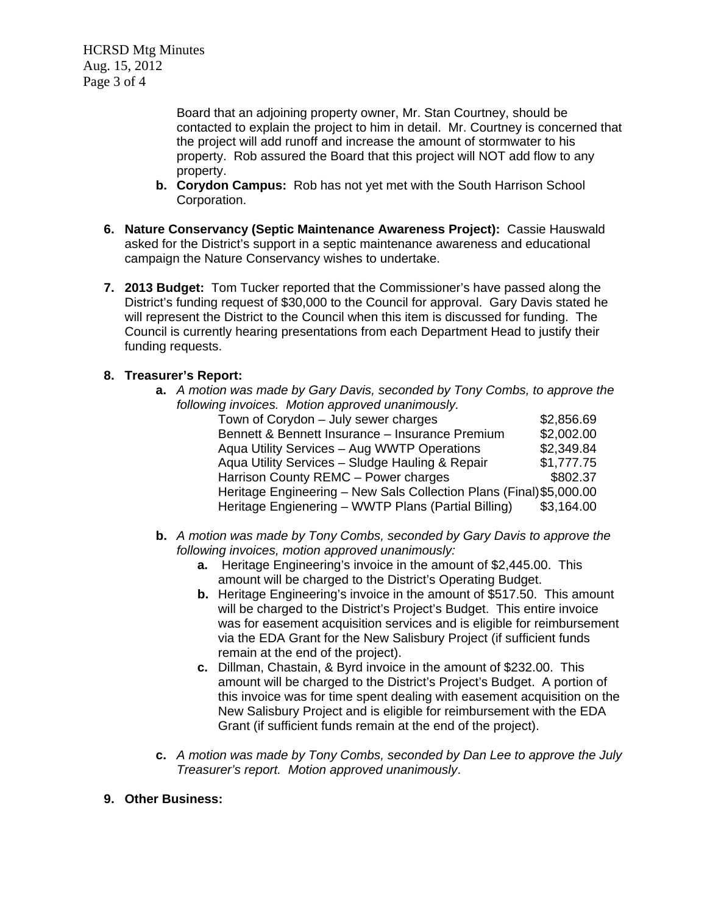HCRSD Mtg Minutes Aug. 15, 2012 Page 3 of 4

> Board that an adjoining property owner, Mr. Stan Courtney, should be contacted to explain the project to him in detail. Mr. Courtney is concerned that the project will add runoff and increase the amount of stormwater to his property. Rob assured the Board that this project will NOT add flow to any property.

- **b. Corydon Campus:**Rob has not yet met with the South Harrison School Corporation.
- **6. Nature Conservancy (Septic Maintenance Awareness Project):** Cassie Hauswald asked for the District's support in a septic maintenance awareness and educational campaign the Nature Conservancy wishes to undertake.
- **7. 2013 Budget:** Tom Tucker reported that the Commissioner's have passed along the District's funding request of \$30,000 to the Council for approval. Gary Davis stated he will represent the District to the Council when this item is discussed for funding. The Council is currently hearing presentations from each Department Head to justify their funding requests.

## **8. Treasurer's Report:**

**a.** *A motion was made by Gary Davis, seconded by Tony Combs, to approve the following invoices. Motion approved unanimously.* 

| Town of Corydon - July sewer charges                                | \$2,856.69 |
|---------------------------------------------------------------------|------------|
| Bennett & Bennett Insurance - Insurance Premium                     | \$2,002.00 |
| Aqua Utility Services - Aug WWTP Operations                         | \$2,349.84 |
| Aqua Utility Services - Sludge Hauling & Repair                     | \$1,777.75 |
| Harrison County REMC - Power charges                                | \$802.37   |
| Heritage Engineering - New Sals Collection Plans (Final) \$5,000.00 |            |
| Heritage Engienering - WWTP Plans (Partial Billing)                 | \$3,164.00 |
|                                                                     |            |

- **b.** *A motion was made by Tony Combs, seconded by Gary Davis to approve the following invoices, motion approved unanimously:* 
	- **a.** Heritage Engineering's invoice in the amount of \$2,445.00. This amount will be charged to the District's Operating Budget.
	- **b.** Heritage Engineering's invoice in the amount of \$517.50. This amount will be charged to the District's Project's Budget. This entire invoice was for easement acquisition services and is eligible for reimbursement via the EDA Grant for the New Salisbury Project (if sufficient funds remain at the end of the project).
	- **c.** Dillman, Chastain, & Byrd invoice in the amount of \$232.00. This amount will be charged to the District's Project's Budget. A portion of this invoice was for time spent dealing with easement acquisition on the New Salisbury Project and is eligible for reimbursement with the EDA Grant (if sufficient funds remain at the end of the project).
- **c.** *A motion was made by Tony Combs, seconded by Dan Lee to approve the July Treasurer's report. Motion approved unanimously*.
- **9. Other Business:**